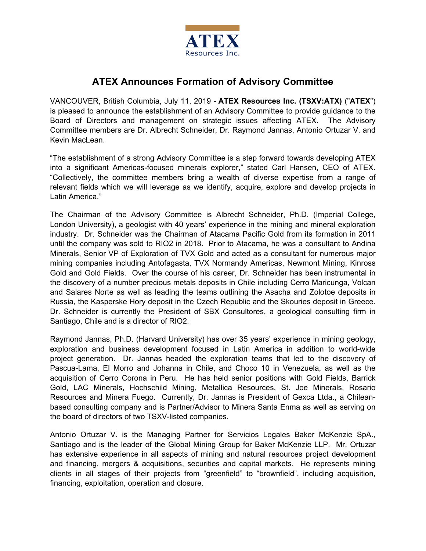

# **ATEX Announces Formation of Advisory Committee**

VANCOUVER, British Columbia, July 11, 2019 - **ATEX Resources Inc. (TSXV:ATX)** ("**ATEX**") is pleased to announce the establishment of an Advisory Committee to provide guidance to the Board of Directors and management on strategic issues affecting ATEX. The Advisory Committee members are Dr. Albrecht Schneider, Dr. Raymond Jannas, Antonio Ortuzar V. and Kevin MacLean.

"The establishment of a strong Advisory Committee is a step forward towards developing ATEX into a significant Americas-focused minerals explorer," stated Carl Hansen, CEO of ATEX. "Collectively, the committee members bring a wealth of diverse expertise from a range of relevant fields which we will leverage as we identify, acquire, explore and develop projects in Latin America."

The Chairman of the Advisory Committee is Albrecht Schneider, Ph.D. (Imperial College, London University), a geologist with 40 years' experience in the mining and mineral exploration industry. Dr. Schneider was the Chairman of Atacama Pacific Gold from its formation in 2011 until the company was sold to RIO2 in 2018. Prior to Atacama, he was a consultant to Andina Minerals, Senior VP of Exploration of TVX Gold and acted as a consultant for numerous major mining companies including Antofagasta, TVX Normandy Americas, Newmont Mining, Kinross Gold and Gold Fields. Over the course of his career, Dr. Schneider has been instrumental in the discovery of a number precious metals deposits in Chile including Cerro Maricunga, Volcan and Salares Norte as well as leading the teams outlining the Asacha and Zolotoe deposits in Russia, the Kasperske Hory deposit in the Czech Republic and the Skouries deposit in Greece. Dr. Schneider is currently the President of SBX Consultores, a geological consulting firm in Santiago, Chile and is a director of RIO2.

Raymond Jannas, Ph.D. (Harvard University) has over 35 years' experience in mining geology, exploration and business development focused in Latin America in addition to world-wide project generation. Dr. Jannas headed the exploration teams that led to the discovery of Pascua-Lama, El Morro and Johanna in Chile, and Choco 10 in Venezuela, as well as the acquisition of Cerro Corona in Peru. He has held senior positions with Gold Fields, Barrick Gold, LAC Minerals, Hochschild Mining, Metallica Resources, St. Joe Minerals, Rosario Resources and Minera Fuego. Currently, Dr. Jannas is President of Gexca Ltda., a Chileanbased consulting company and is Partner/Advisor to Minera Santa Enma as well as serving on the board of directors of two TSXV-listed companies.

Antonio Ortuzar V. is the Managing Partner for Servicios Legales Baker McKenzie SpA., Santiago and is the leader of the Global Mining Group for Baker McKenzie LLP. Mr. Ortuzar has extensive experience in all aspects of mining and natural resources project development and financing, mergers & acquisitions, securities and capital markets. He represents mining clients in all stages of their projects from "greenfield" to "brownfield", including acquisition, financing, exploitation, operation and closure.